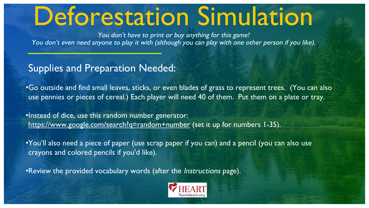# Deforestation Simulation

You don't have to print or buy anything for this game! You don't even need anyone to play it with (although you can play with one other person if you like).

Supplies and Preparation Needed:

•Go outside and find small leaves, sticks, or even blades of grass to represent trees. (You can also use pennies or pieces of cereal.) Each player will need 40 of them. Put them on a plate or tray.

•Instead of dice, use this random number generator: <https://www.google.com/search?q=random+number> (set it up for numbers 1-35).

•You'll also need a piece of paper (use scrap paper if you can) and a pencil (you can also use crayons and colored pencils if you'd like).

•Review the provided vocabulary words (after the *Instructions* page).

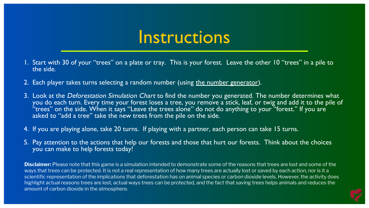#### **Instructions**

- 1. Start with 30 of your "trees" on a plate or tray. This is your forest. Leave the other 10 "trees" in a pile to the side.
- 2. Each player takes turns selecting a random number (using [the number generator](https://www.google.com/search?q=random+number)).
- 3. Look at the Deforestation Simulation Chart to find the number you generated. The number determines what you do each turn. Every time your forest loses a tree, you remove a stick, leaf, or twig and add it to the pile of  $\lq\lq$  trees" on the side. When it says "Leave the trees alone" do not do anything to your "forest." If you are  $\lq$ asked to "add a tree" take the new trees from the pile on the side.
- 4. If you are playing alone, take 20 turns. If playing with a partner, each person can take 15 turns.
- 5. Pay attention to the actions that help our forests and those that hurt our forests. Think about the choices you can make to help forests today!

**Disclaimer:** Please note that this game is a simulation intended to demonstrate some of the reasons that trees are lost and some of the ways that trees can be protected. It is not a real representation of how many trees are actually lost or saved by each action, nor is it a scientific representation of the implications that deforestation has on animal species or carbon dioxide levels. However, the activity does highlight actual reasons trees are lost, actual ways trees can be protected, and the fact that saving trees helps animals and reduces the amount of carbon dioxide in the atmosphere.

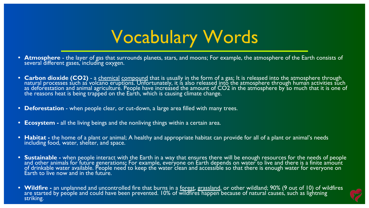## Vocabulary Words

- **Atmosphere** the layer of gas that surrounds planets, stars, and moons; For example, the atmosphere of the Earth consists of several different gases, including oxygen.
- Carbon dioxide (CO2) a <u>[chemical](https://kids.britannica.com/kids/article/chemical-element/352942) compound</u> that is usually in the form of a gas; It is released into the atmosphere through and the strough and the strough and the strough and the strough and the strough and that is us natural processes such as volcano eruptions. Unfortunately, it is also released into the atmosphere through human activities such as deforestation and animal agriculture. People have increased the amount of CO2 in the atmosphere by so much that it is one of the reasons heat is being trapped on the Earth, which is causing climate change.
- **• Deforestation**  when people clear, or cut-down, a large area filled with many trees.
- **• Ecosystem** all the living beings and the nonliving things within a certain area.
- **Habitat** the home of a plant or animal; A healthy and appropriate habitat can provide for all of a plant or animal's needs including food, water, shelter, and space.
- Sustainable when people interact with the Earth in a way that ensures there will be enough resources for the needs of people and other animals for future generations**;** For example, everyone on Earth depends on water to live and there is a finite amount of drinkable water available. People need to keep the water clean and accessible so that there is enough water for everyone on Earth to live now and in the future.
- **• Wildfire** an unplanned and uncontrolled fire that burns in a [forest](https://kids.britannica.com/kids/article/forest/390614), [grassland](https://kids.britannica.com/kids/article/grassland/346127), or other wildland; 90% (9 out of 10) of wildfires are started by people and could have been prevented. 10% of wildfires happen because of natural causes, such as lightning striking.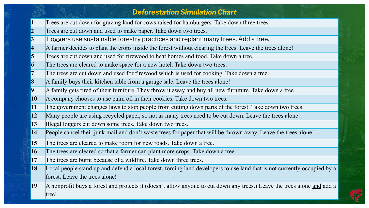|                           | <b>Deforestation Simulation Chart</b>                                                                                    |
|---------------------------|--------------------------------------------------------------------------------------------------------------------------|
| $\vert 1 \vert$           | Trees are cut down for grazing land for cows raised for hamburgers. Take down three trees.                               |
| $\overline{\mathbf{2}}$   | Trees are cut down and used to make paper. Take down two trees.                                                          |
| $\overline{\overline{3}}$ | Loggers use sustainable forestry practices and replant many trees. Add a tree.                                           |
| 4                         | A farmer decides to plant the crops inside the forest without clearing the trees. Leave the trees alone!                 |
| 5                         | Trees are cut down and used for firewood to heat homes and food. Take down a tree.                                       |
| 6                         | The trees are cleared to make space for a new hotel. Take down two trees.                                                |
| $\overline{7}$            | The trees are cut down and used for firewood which is used for cooking. Take down a tree.                                |
| 8                         | A family buys their kitchen table from a garage sale. Leave the trees alone!                                             |
| $\vert 9 \vert$           | A family gets tired of their furniture. They throw it away and buy all new furniture. Take down a tree.                  |
| <b>10</b>                 | A company chooses to use palm oil in their cookies. Take down two trees.                                                 |
| 11                        | The government changes laws to stop people from cutting down parts of the forest. Take down two trees.                   |
| <b>12</b>                 | Many people are using recycled paper, so not as many trees need to be cut down. Leave the trees alone!                   |
| 13                        | Illegal loggers cut down some trees. Take down two trees.                                                                |
| 14                        | People cancel their junk mail and don't waste trees for paper that will be thrown away. Leave the trees alone!           |
| 15                        | The trees are cleared to make room for new roads. Take down a tree.                                                      |
| <b>16</b>                 | The trees are cleared so that a farmer can plant more crops. Take down a tree.                                           |
| 17                        | The trees are burnt because of a wildfire. Take down three trees.                                                        |
| <b>18</b>                 | Local people stand up and defend a local forest, forcing land developers to use land that is not currently occupied by a |
|                           | forest. Leave the trees alone!                                                                                           |
| <b>19</b>                 | A nonprofit buys a forest and protects it (doesn't allow anyone to cut down any trees.) Leave the trees alone and add a  |
|                           | tree!                                                                                                                    |

 $\widetilde{r}$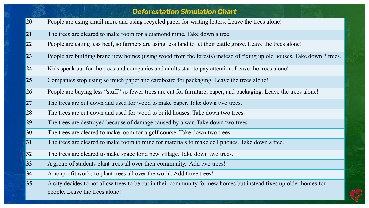|    | <b>Deforestation Simulation Chart</b>                                                                                                               |
|----|-----------------------------------------------------------------------------------------------------------------------------------------------------|
| 20 | People are using email more and using recycled paper for writing letters. Leave the trees alone!                                                    |
| 21 | The trees are cleared to make room for a diamond mine. Take down a tree.                                                                            |
| 22 | People are eating less beef, so farmers are using less land to let their cattle graze. Leave the trees alone!                                       |
| 23 | People are building brand new homes (using wood from the forests) instead of fixing up old houses. Take down 2 trees.                               |
| 24 | Kids speak out for the trees and companies and adults start to pay attention. Leave the trees alone!                                                |
| 25 | Companies stop using so much paper and cardboard for packaging. Leave the trees alone!                                                              |
| 26 | People are buying less "stuff" so fewer trees are cut for furniture, paper, and packaging. Leave the trees alone!                                   |
| 27 | The trees are cut down and used for wood to make paper. Take down two trees.                                                                        |
| 28 | The trees are cut down and used for wood to build houses. Take down two trees.                                                                      |
| 29 | The trees are destroyed because of damage caused by a war. Take down two trees.                                                                     |
| 30 | The trees are cleared to make room for a golf course. Take down two trees.                                                                          |
| 31 | The trees are cleared to make room to mine for materials to make cell phones. Take down a tree.                                                     |
| 32 | The trees are cleared to make space for a new village. Take down two trees.                                                                         |
| 33 | A group of students plant trees all over their community. Add two trees!                                                                            |
| 34 | A nonprofit works to plant trees all over the world. Add three trees!                                                                               |
| 35 | A city decides to not allow trees to be cut in their community for new homes but instead fixes up older homes for<br>people. Leave the trees alone! |

 $\overrightarrow{C}$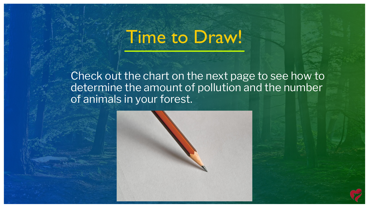### Time to Draw!

Check out the chart on the next page to see how to determine the amount of pollution and the number of animals in your forest.

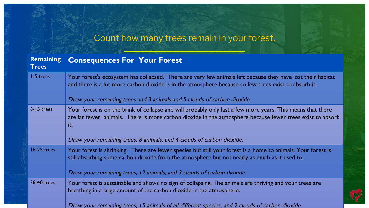#### Count how many trees remain in your forest.

| <b>Remaining</b><br><b>Trees</b> | <b>Consequences For Your Forest</b>                                                                                                                                                                                             |
|----------------------------------|---------------------------------------------------------------------------------------------------------------------------------------------------------------------------------------------------------------------------------|
| 1-5 trees                        | Your forest's ecosystem has collapsed. There are very few animals left because they have lost their habitat<br>and there is a lot more carbon dioxide is in the atmosphere because so few trees exist to absorb it.             |
|                                  | Draw your remaining trees and 3 animals and 5 clouds of carbon dioxide.                                                                                                                                                         |
| $6 - 15$ trees                   | Your forest is on the brink of collapse and will probably only last a few more years. This means that there<br>are far fewer animals. There is more carbon dioxide in the atmosphere because fewer trees exist to absorb<br>it. |
|                                  | Draw your remaining trees, 8 animals, and 4 clouds of carbon dioxide.                                                                                                                                                           |
| 16-25 trees                      | Your forest is shrinking. There are fewer species but still your forest is a home to animals. Your forest is<br>still absorbing some carbon dioxide from the atmosphere but not nearly as much as it used to.                   |
|                                  | Draw your remaining trees, 12 animals, and 3 clouds of carbon dioxide.                                                                                                                                                          |
| 26-40 trees                      | Your forest is sustainable and shows no sign of collapsing. The animals are thriving and your trees are<br>breathing in a large amount of the carbon dioxide in the atmosphere.                                                 |
|                                  | Draw your remaining trees, 15 animals of all different species, and 2 clouds of carbon dioxide.                                                                                                                                 |